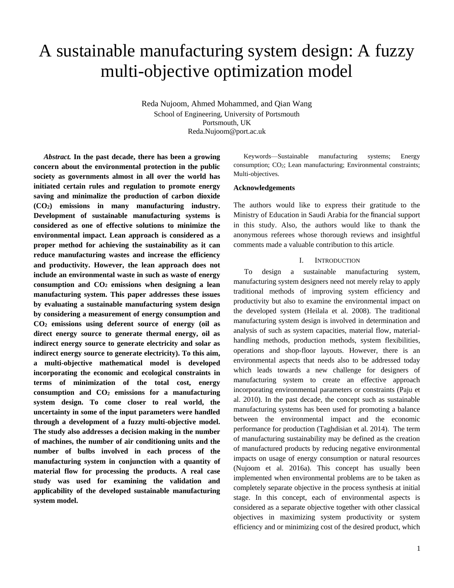# A sustainable manufacturing system design: A fuzzy multi-objective optimization model

Reda Nujoom, Ahmed Mohammed, and Qian Wang School of Engineering, University of Portsmouth Portsmouth, UK Reda.Nujoom@port.ac.uk

*Abstract.* **In the past decade, there has been a growing concern about the environmental protection in the public society as governments almost in all over the world has initiated certain rules and regulation to promote energy saving and minimalize the production of carbon dioxide (CO2) emissions in many manufacturing industry. Development of sustainable manufacturing systems is considered as one of effective solutions to minimize the environmental impact. Lean approach is considered as a proper method for achieving the sustainability as it can reduce manufacturing wastes and increase the efficiency and productivity. However, the lean approach does not include an environmental waste in such as waste of energy consumption and CO<sup>2</sup> emissions when designing a lean manufacturing system. This paper addresses these issues by evaluating a sustainable manufacturing system design by considering a measurement of energy consumption and CO<sup>2</sup> emissions using deferent source of energy (oil as direct energy source to generate thermal energy, oil as indirect energy source to generate electricity and solar as indirect energy source to generate electricity). To this aim, a multi-objective mathematical model is developed incorporating the economic and ecological constraints in terms of minimization of the total cost, energy consumption and CO<sup>2</sup> emissions for a manufacturing system design. To come closer to real world, the uncertainty in some of the input parameters were handled through a development of a fuzzy multi-objective model. The study also addresses a decision making in the number of machines, the number of air conditioning units and the number of bulbs involved in each process of the manufacturing system in conjunction with a quantity of material flow for processing the products. A real case study was used for examining the validation and applicability of the developed sustainable manufacturing system model.** 

Keywords—Sustainable manufacturing systems; Energy consumption; CO2; Lean manufacturing; Environmental constraints; Multi-objectives.

#### **Acknowledgements**

The authors would like to express their gratitude to the Ministry of Education in Saudi Arabia for the financial support in this study. Also, the authors would like to thank the anonymous referees whose thorough reviews and insightful comments made a valuable contribution to this article.

#### I. INTRODUCTION

To design a sustainable manufacturing system, manufacturing system designers need not merely relay to apply traditional methods of improving system efficiency and productivity but also to examine the environmental impact on the developed system (Heilala et al. 2008). The traditional manufacturing system design is involved in determination and analysis of such as system capacities, material flow, materialhandling methods, production methods, system flexibilities, operations and shop-floor layouts. However, there is an environmental aspects that needs also to be addressed today which leads towards a new challenge for designers of manufacturing system to create an effective approach incorporating environmental parameters or constraints (Paju et al. 2010). In the past decade, the concept such as sustainable manufacturing systems has been used for promoting a balance between the environmental impact and the economic performance for production (Taghdisian et al. 2014). The term of manufacturing sustainability may be defined as the creation of manufactured products by reducing negative environmental impacts on usage of energy consumption or natural resources (Nujoom et al. 2016a). This concept has usually been implemented when environmental problems are to be taken as completely separate objective in the process synthesis at initial stage. In this concept, each of environmental aspects is considered as a separate objective together with other classical objectives in maximizing system productivity or system efficiency and or minimizing cost of the desired product, which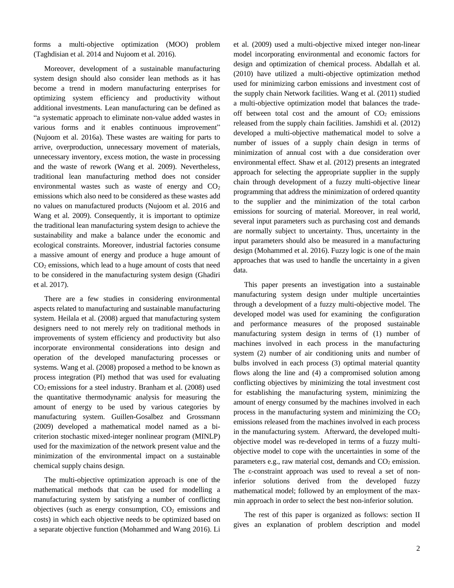forms a multi-objective optimization (MOO) problem (Taghdisian et al. 2014 and Nujoom et al. 2016).

Moreover, development of a sustainable manufacturing system design should also consider lean methods as it has become a trend in modern manufacturing enterprises for optimizing system efficiency and productivity without additional investments. Lean manufacturing can be defined as "a systematic approach to eliminate non-value added wastes in various forms and it enables continuous improvement" (Nujoom et al. 2016a). These wastes are waiting for parts to arrive, overproduction, unnecessary movement of materials, unnecessary inventory, excess motion, the waste in processing and the waste of rework (Wang et al. 2009). Nevertheless, traditional lean manufacturing method does not consider environmental wastes such as waste of energy and  $CO<sub>2</sub>$ emissions which also need to be considered as these wastes add no values on manufactured products (Nujoom et al. 2016 and Wang et al. 2009). Consequently, it is important to optimize the traditional lean manufacturing system design to achieve the sustainability and make a balance under the economic and ecological constraints. Moreover, industrial factories consume a massive amount of energy and produce a huge amount of  $CO<sub>2</sub>$  emissions, which lead to a huge amount of costs that need to be considered in the manufacturing system design (Ghadiri et al. 2017).

There are a few studies in considering environmental aspects related to manufacturing and sustainable manufacturing system. Heilala et al. (2008) argued that manufacturing system designers need to not merely rely on traditional methods in improvements of system efficiency and productivity but also incorporate environmental considerations into design and operation of the developed manufacturing processes or systems. Wang et al. (2008) proposed a method to be known as process integration (PI) method that was used for evaluating  $CO<sub>2</sub>$  emissions for a steel industry. Branham et al. (2008) used the quantitative thermodynamic analysis for measuring the amount of energy to be used by various categories by manufacturing system. Guillen-Gosalbez and Grossmann (2009) developed a mathematical model named as a bicriterion stochastic mixed-integer nonlinear program (MINLP) used for the maximization of the network present value and the minimization of the environmental impact on a sustainable chemical supply chains design.

The multi-objective optimization approach is one of the mathematical methods that can be used for modelling a manufacturing system by satisfying a number of conflicting objectives (such as energy consumption,  $CO<sub>2</sub>$  emissions and costs) in which each objective needs to be optimized based on a separate objective function (Mohammed and Wang 2016). Li

et al. (2009) used a multi-objective mixed integer non-linear model incorporating environmental and economic factors for design and optimization of chemical process. Abdallah et al. (2010) have utilized a multi-objective optimization method used for minimizing carbon emissions and investment cost of the supply chain Network facilities. Wang et al. (2011) studied a multi-objective optimization model that balances the tradeoff between total cost and the amount of  $CO<sub>2</sub>$  emissions released from the supply chain facilities. Jamshidi et al. (2012) developed a multi-objective mathematical model to solve a number of issues of a supply chain design in terms of minimization of annual cost with a due consideration over environmental effect. Shaw et al. (2012) presents an integrated approach for selecting the appropriate supplier in the supply chain through development of a fuzzy multi-objective linear programming that address the minimization of ordered quantity to the supplier and the minimization of the total carbon emissions for sourcing of material. Moreover, in real world, several input parameters such as purchasing cost and demands are normally subject to uncertainty. Thus, uncertainty in the input parameters should also be measured in a manufacturing design (Mohammed et al. 2016). Fuzzy logic is one of the main approaches that was used to handle the uncertainty in a given data.

This paper presents an investigation into a sustainable manufacturing system design under multiple uncertainties through a development of a fuzzy multi-objective model. The developed model was used for examining the configuration and performance measures of the proposed sustainable manufacturing system design in terms of (1) number of machines involved in each process in the manufacturing system (2) number of air conditioning units and number of bulbs involved in each process (3) optimal material quantity flows along the line and (4) a compromised solution among conflicting objectives by minimizing the total investment cost for establishing the manufacturing system, minimizing the amount of energy consumed by the machines involved in each process in the manufacturing system and minimizing the  $CO<sub>2</sub>$ emissions released from the machines involved in each process in the manufacturing system. Afterward, the developed multiobjective model was re-developed in terms of a fuzzy multiobjective model to cope with the uncertainties in some of the parameters e.g., raw material cost, demands and  $CO<sub>2</sub>$  emission. The ε-constraint approach was used to reveal a set of noninferior solutions derived from the developed fuzzy mathematical model; followed by an employment of the maxmin approach in order to select the best non-inferior solution.

The rest of this paper is organized as follows: section II gives an explanation of problem description and model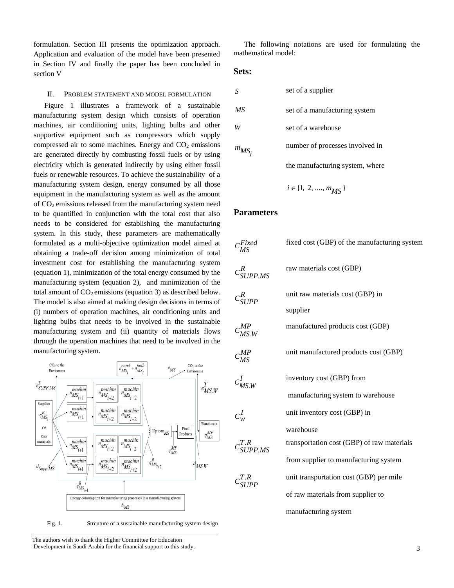formulation. Section III presents the optimization approach. Application and evaluation of the model have been presented in Section IV and finally the paper has been concluded in section V

#### II. PROBLEM STATEMENT AND MODEL FORMULATION

Figure 1 illustrates a framework of a sustainable manufacturing system design which consists of operation machines, air conditioning units, lighting bulbs and other supportive equipment such as compressors which supply compressed air to some machines. Energy and  $CO<sub>2</sub>$  emissions are generated directly by combusting fossil fuels or by using electricity which is generated indirectly by using either fossil fuels or renewable resources. To achieve the sustainability of a manufacturing system design, energy consumed by all those equipment in the manufacturing system as well as the amount of CO<sup>2</sup> emissions released from the manufacturing system need to be quantified in conjunction with the total cost that also needs to be considered for establishing the manufacturing system. In this study, these parameters are mathematically formulated as a multi-objective optimization model aimed at obtaining a trade-off decision among minimization of total investment cost for establishing the manufacturing system (equation 1), minimization of the total energy consumed by the manufacturing system (equation 2), and minimization of the total amount of  $CO<sub>2</sub>$  emissions (equation 3) as described below. The model is also aimed at making design decisions in terms of (i) numbers of operation machines, air conditioning units and lighting bulbs that needs to be involved in the sustainable manufacturing system and (ii) quantity of materials flows through the operation machines that need to be involved in the manufacturing system.



Fig. 1. Strcuture of a sustainable manufacturing system design

The authors wish to thank the Higher Committee for Education Development in Saudi Arabia for the financial support to this study.

The following notations are used for formulating the mathematical model:

## **Sets:**

| S          | set of a supplier               |
|------------|---------------------------------|
| МS         | set of a manufacturing system   |
|            | set of a warehouse              |
| $m_{MS_i}$ | number of processes involved in |
|            | the manufacturing system, where |

$$
i\in\{1,\;2,\,...,\,m_{\tilde{M}S}\,\}
$$

## **Parameters**

| $c_{MS}^{Fixed}$                   | fixed cost (GBP) of the manufacturing system |
|------------------------------------|----------------------------------------------|
| $c_{\mathit{SUPPMS}}^{\mathit{R}}$ | raw materials cost (GBP)                     |
| $c_{SUPP}^R$                       | unit raw materials cost (GBP) in             |
|                                    | supplier                                     |
| $c_{MS,W}^{MP}$                    | manufactured products cost (GBP)             |
| $C_{MS}^{MP}$                      | unit manufactured products cost (GBP)        |
| $c_{MNW}^I$                        | inventory cost (GBP) from                    |
|                                    | manufacturing system to warehouse            |
| $c_w^I$                            | unit inventory cost (GBP) in                 |
|                                    | warehouse                                    |
| $c^{T.R}_{SUPPMS}$                 | transportation cost (GBP) of raw materials   |
|                                    | from supplier to manufacturing system        |
| $c_{SUPP}^{T.R}$                   | unit transportation cost (GBP) per mile      |
|                                    | of raw materials from supplier to            |
|                                    | manufacturing system                         |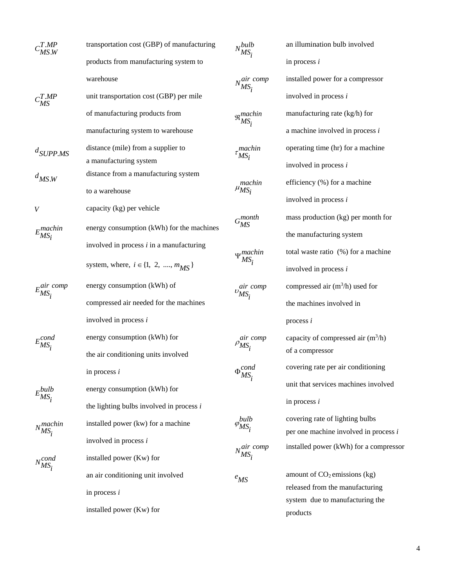|                                | transportation cost (GBP) of manufacturing | $N_{MS_i}^{bulb}$               | an illumi   |
|--------------------------------|--------------------------------------------|---------------------------------|-------------|
|                                | products from manufacturing system to      |                                 | in proces   |
|                                | warehouse                                  | $N_{MS_i}^{air \ comp}$         | installed   |
| $c^{T,MP}_{MS}$                | unit transportation cost (GBP) per mile    |                                 | involved    |
|                                | of manufacturing products from             | $\mathfrak{R}_{MS_i}^{machine}$ | manufact    |
|                                | manufacturing system to warehouse          |                                 | a machin    |
| $d$ SUPP.MS                    | distance (mile) from a supplier to         | $\tau^{machine}_{MSi}$          | operating   |
|                                | a manufacturing system                     |                                 | involved    |
| $d_{MS,W}$                     | distance from a manufacturing system       |                                 |             |
|                                | to a warehouse                             | $\mu_{MS_i}^{machine}$          | efficienc   |
| V                              | capacity (kg) per vehicle                  |                                 | involved    |
|                                | energy consumption (kWh) for the machines  | $G_{MS}^{month}$                | mass pro    |
| $E_{MS_i}^{machine}$           |                                            |                                 | the manu    |
|                                | involved in process $i$ in a manufacturing | $\Psi_{MS_i}^{machine}$         | total was   |
|                                | system, where, $i \in \{1, 2, , m_{MS}\}\$ |                                 | involved    |
| $E_{MS_i}^{air\ comp}$         | energy consumption (kWh) of                | $v_{MS_i}^{air \ comp}$         | compress    |
|                                | compressed air needed for the machines     |                                 | the mach    |
|                                | involved in process i                      |                                 | process $i$ |
| $E_{MS_{i}}^{cond}$            | energy consumption (kWh) for               | $\rho_{MS_i}^{air\ comp}$       | capacity    |
|                                | the air conditioning units involved        |                                 | of a com    |
|                                | in process $i$                             | $\Phi_{MS_i}^{cond}$            | covering    |
|                                | energy consumption (kWh) for               |                                 | unit that   |
| $E_{MS_i}^{bulb}$              | the lighting bulbs involved in process $i$ |                                 | in proces   |
|                                | installed power (kw) for a machine         | bulb                            | covering    |
| $N_{MS_i}^{machine}$           |                                            | $\varphi_{MS_i}$                | per one n   |
|                                | involved in process i                      | $N_{115}^{air \; comp}$         | installed   |
| $N_{\bullet}^{cond}$<br>$MS_i$ | installed power (Kw) for                   | $MS_i$                          |             |
|                                | an air conditioning unit involved          | $e$ <sub>MS</sub>               | amount o    |
|                                | in process $i$                             |                                 | released    |
|                                | installed power (Kw) for                   |                                 | system c    |
|                                |                                            |                                 | products    |

| an illumination bulb involved          |
|----------------------------------------|
| in process $i$                         |
| installed power for a compressor       |
| involved in process $i$                |
| manufacturing rate (kg/h) for          |
| a machine involved in process $i$      |
| operating time (hr) for a machine      |
| involved in process i                  |
| efficiency (%) for a machine           |
| involved in process i                  |
| mass production (kg) per month for     |
| the manufacturing system               |
| total waste ratio (%) for a machine    |
| involved in process i                  |
| compressed air $(m^3/h)$ used for      |
| the machines involved in               |
| process $i$                            |
| capacity of compressed air $(m^3/h)$   |
| of a compressor                        |
| covering rate per air conditioning     |
| unit that services machines involved   |
| in process $i$                         |
| covering rate of lighting bulbs        |
| per one machine involved in process i  |
| installed power (kWh) for a compressor |
| amount of $CO2$ emissions (kg)         |
| released from the manufacturing        |
| system due to manufacturing the        |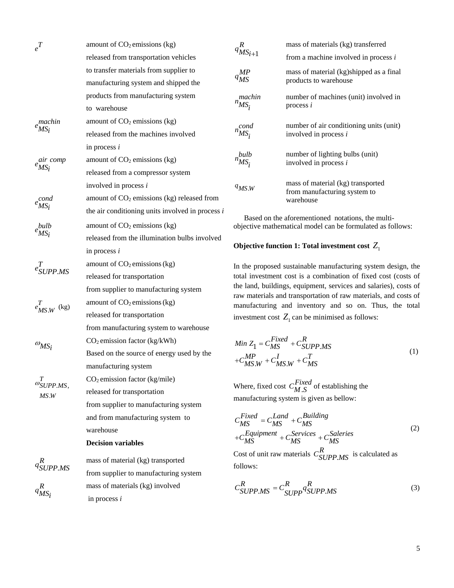| $e^{T}$                                  | amount of $CO2$ emissions (kg)                     |  |  |  |  |  |  |  |
|------------------------------------------|----------------------------------------------------|--|--|--|--|--|--|--|
|                                          | released from transportation vehicles              |  |  |  |  |  |  |  |
|                                          | to transfer materials from supplier to             |  |  |  |  |  |  |  |
|                                          | manufacturing system and shipped the               |  |  |  |  |  |  |  |
|                                          | products from manufacturing system                 |  |  |  |  |  |  |  |
|                                          | to warehouse                                       |  |  |  |  |  |  |  |
| $e^{machine}_{MSi}$                      | amount of $CO2$ emissions (kg)                     |  |  |  |  |  |  |  |
|                                          | released from the machines involved                |  |  |  |  |  |  |  |
|                                          | in process $i$                                     |  |  |  |  |  |  |  |
| air comp<br><sup>e</sup> MS <sub>i</sub> | amount of $CO2$ emissions (kg)                     |  |  |  |  |  |  |  |
|                                          | released from a compressor system                  |  |  |  |  |  |  |  |
|                                          | involved in process i                              |  |  |  |  |  |  |  |
| $e^{cond}_{MSi}$                         | amount of $CO2$ emissions (kg) released from       |  |  |  |  |  |  |  |
|                                          | the air conditioning units involved in process $i$ |  |  |  |  |  |  |  |
|                                          | amount of $CO2$ emissions (kg)                     |  |  |  |  |  |  |  |
| $e^{bulb}_{MS_i}$                        | released from the illumination bulbs involved      |  |  |  |  |  |  |  |
|                                          | in process $i$                                     |  |  |  |  |  |  |  |
| $e_{SI/PP,MS}^T$                         | amount of $CO2$ emissions (kg)                     |  |  |  |  |  |  |  |
|                                          | released for transportation                        |  |  |  |  |  |  |  |
|                                          | from supplier to manufacturing system              |  |  |  |  |  |  |  |
| $e_{M S.W}^T$ (kg)                       | amount of $CO2$ emissions (kg)                     |  |  |  |  |  |  |  |
|                                          | released for transportation                        |  |  |  |  |  |  |  |
|                                          | from manufacturing system to warehouse             |  |  |  |  |  |  |  |
| $\omega_{MS_i}$                          | $CO2$ emission factor (kg/kWh)                     |  |  |  |  |  |  |  |
|                                          | Based on the source of energy used by the          |  |  |  |  |  |  |  |
|                                          | manufacturing system                               |  |  |  |  |  |  |  |
| $\boldsymbol{T}$                         | $CO2$ emission factor (kg/mile)                    |  |  |  |  |  |  |  |
| $\omega$ SUPP.MS,<br>MS.W                | released for transportation                        |  |  |  |  |  |  |  |
|                                          | from supplier to manufacturing system              |  |  |  |  |  |  |  |
|                                          | and from manufacturing system to                   |  |  |  |  |  |  |  |
|                                          | warehouse                                          |  |  |  |  |  |  |  |
|                                          | <b>Decision variables</b>                          |  |  |  |  |  |  |  |
|                                          | mass of material (kg) transported                  |  |  |  |  |  |  |  |
| $q_{SUPP. MS}^R$                         | from supplier to manufacturing system              |  |  |  |  |  |  |  |
|                                          | mass of materials (kg) involved                    |  |  |  |  |  |  |  |
| $q_{MS_i}^R$                             | $\mathbf{in}$ process $\mathbf{i}$                 |  |  |  |  |  |  |  |

in process *i*

1  $q_{MS_{i+}}^R$ mass of materials (kg) transferred from a machine involved in process *i MP qMS* mass of material (kg)shipped as a final products to warehouse *machin nMSi* number of machines (unit) involved in process *i cond nMSi* number of air conditioning units (unit) involved in process *i bulb nMSi* number of lighting bulbs (unit) involved in process *i* . *qMS W* mass of material (kg) transported from manufacturing system to warehouse

Based on the aforementioned notations, the multiobjective mathematical model can be formulated as follows:

# Objective function 1: Total investment cost  $Z_1$

In the proposed sustainable manufacturing system design, the total investment cost is a combination of fixed cost (costs of the land, buildings, equipment, services and salaries), costs of raw materials and transportation of raw materials, and costs of manufacturing and inventory and so on. Thus, the total investment cost  $Z_1$  can be minimised as follows:

$$
Min Z_1 = C_{MS}^{Fixed} + C_{SUPPMS}^R
$$
  
+ $C_{MS.W}^{MP} + C_{MS.W}^I + C_{MS}^T$  (1)

Where, fixed cost  $C_{M.S}^{Fixed}$  of establishing the manufacturing system is given as bellow:

$$
C_{MS}^{Fixed} = C_{MS}^{Land} + C_{MS}^{Building}
$$
  
+
$$
C_{MS}^{Equipment} + C_{MS}^{Services} + C_{MS}^{Saleries}
$$
 (2)

Cost of unit raw materials  $C_{SUPP.}^N$  $C_{SUPP. MS}^R$  is calculated as follows:

$$
C_{SUPP. MS}^R = C_{SUPP}^R q_{SUPP. MS}^R
$$
\n(3)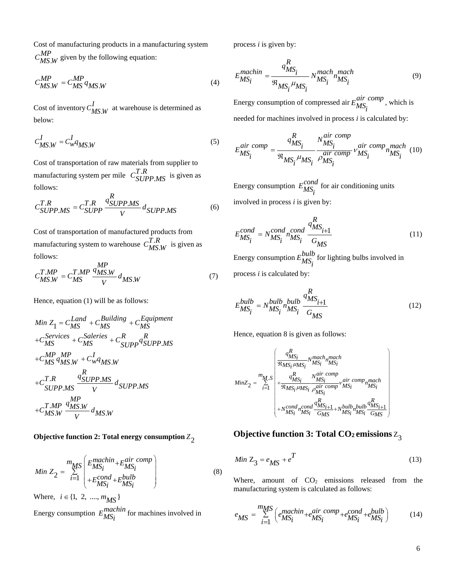Cost of manufacturing products in a manufacturing system  $C_{MS,W}^{MP}$  given by the following equation:

$$
C_{MS,W}^{MP} = C_{MS}^{MP} q_{MS,W}
$$
\n(4)

Cost of inventory  $C_{M S, W}^I$  at warehouse is determined as below:

$$
C_{MS,W}^I = C_w^I q_{MS,W} \tag{5}
$$

Cost of transportation of raw materials from supplier to manufacturing system per mile  $C_{SI}^T$ .  $C_{SUPP. MS}^{T.R}$  is given as follows:

$$
C_{SUPP.MS}^{T.R} = C_{SUPP}^{T.R} \frac{q_{SUPP.MS}^R}{V} d_{SUPP.MS}
$$
 (6)

Cost of transportation of manufactured products from manufacturing system to warehouse  $C_{\mathbf{M}}^{\mathbf{T}}$ .  $C_{M S. W}^{T.R}$  is given as follows: *MP*

$$
C_{MS.W}^{T.MP} = C_{MS}^{T.MP} \frac{^{MP}_{4MS.W}}{V} d_{MS.W}
$$
 (7)

Hence, equation (1) will be as follows:

Min 
$$
Z_1 = C_{MS}^{Land} + C_{MS}^{Building} + C_{MS}^{Equipment}
$$
  
\n+ $C_{MS}^{Services} + C_{MS}^{Saleries} + C_{SUPP}^{R} q_{SUPPMS}^{R}$   
\n+ $C_{MS}^{MP} q_{MS,W}^{MP} + C_{w}^{H} q_{MS,W}$   
\n+ $C_{SUPPMS}^{T,R} \frac{q_{SUPPMS}^{R}}{V} d_{SUPPMS}$   
\n+ $C_{MS,W}^{T.MP} \frac{q_{MS,W}^{MP}}{V} d_{MS,W}$ 

# **Objective function 2: Total energy consumption** 2 *Z*

$$
Min Z_2 = \sum_{i=1}^{m_{MS}} \begin{pmatrix} E_{MS_i}^{machine} + E_{MS_i}^{air \ comp} \\ + E_{MS_i}^{cond} + E_{MS_i}^{bulb} \end{pmatrix}
$$
(8)

Where,  $i \in \{1, 2, ..., m_{MS}\}\$ Energy consumption  $E_{MS_i}^{machine}$  for machines involved in process *i* is given by:

$$
E_{MS_i}^{machine} = \frac{q_{MS_i}^R}{\mathfrak{R}_{MS_i} \mu_{MS_i}} N_{MS_i}^{mach} n_{MS_i}^{mach}
$$
\n(9)

Energy consumption of compressed air  $E_{MS_i}^{air\ comp}$ , which is needed for machines involved in process *i* is calculated by:

needed for machines involved in process *t* is calculated by:  
\n
$$
E_{MS_i}^{air comp} = \frac{q_{MS_i}^R}{\Re_{MS_i} \mu_{MS_i}} \frac{N_{MS_i}^{air comp}}{\rho_{MS_i}^{air comp}} \nu_{MS_i}^{air comp} \mu_{MS_i}^{mach} (10)
$$

Energy consumption  $E_{MS_i}^{cond}$  for air conditioning units involved in process *i* is given by:

$$
E_{MS_i}^{cond} = N_{MS_i}^{cond} n_{MS_i}^{cond} \frac{q_{MS_{i+1}}^R}{G_{MS}}
$$
(11)

Energy consumption  $E_{MS_i}^{bulb}$  for lighting bulbs involved in process *i* is calculated by:

$$
E_{MS_i}^{bulb} = N_{MS_i}^{bulb} {a_{MS_{i+1}}^R \over G_{MS}}
$$
\n(12)

Hence, equation 8 is given as follows:

$$
MinZ_{2} = \sum_{i=1}^{m_{M}} \left(\frac{q_{MS_{i}}^{R}}{\Re_{MS_{i}}N_{MS_{i}}^{MSS_{i}}N_{MS_{i}}^{MSS_{i}}}\right) + \frac{q_{MS_{i}}^{R}N_{MS_{i}}^{MSS_{i}}comp}{\Re_{MS_{i}}N_{MS_{i}}^{MSS_{i}}\rho_{MS_{i}}^{air comp} \nu_{MS_{i}}^{air comp} n_{MS_{i}}^{mach}} + N_{MS_{i}}^{cond}n_{MS_{i}}^{cond} \frac{q_{MS_{i+1}}^{R}}{G_{MS_{i}}N_{MS_{i}}^{MSS_{i}}N_{MS_{i}}^{G}} \frac{q_{MS_{i+1}}^{R}}{G_{MS_{i}}N_{MS_{i}}^{G}} \right)
$$

# **Objective function 3: Total CO2 emissions** Z 3

$$
Min Z_3 = e_{MS} + e^T
$$
\n(13)

Where, amount of  $CO<sub>2</sub>$  emissions released from the manufacturing system is calculated as follows:

$$
e_{MS} = \sum_{i=1}^{mMS} \left( e_{MSi}^{machine + e_{MSi}^{air} comp + e_{MSi}^{cond + e_{MSi}^{bulb}} \right)
$$
 (14)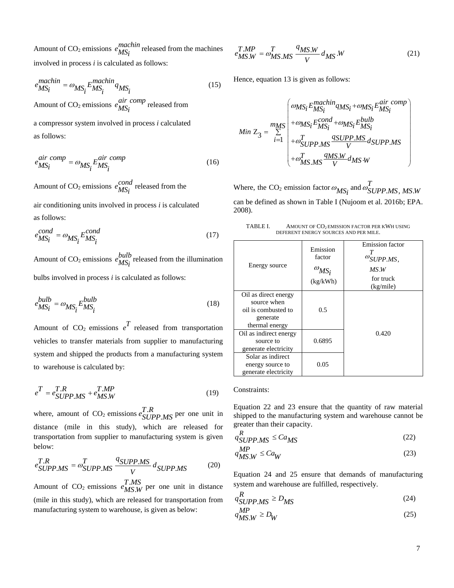Amount of  $CO_2$  emissions  $\frac{machin}{MS_i}$  released from the machines involved in process *i* is calculated as follows:

$$
e_{MS_i}^{machine} = \omega_{MS_i} E_{MS_i}^{machine} q_{MS_i}
$$
\n(15)

Amount of  $CO_2$  emissions  $\frac{air \ comp}{MS_i}$  released from

a compressor system involved in process *i* calculated as follows:

$$
e^{air\ comp}_{MS_i} = \omega_{MS_i} E_{MS_i}^{air\ comp} \tag{16}
$$

Amount of  $CO_2$  emissions  $e^{cond}_{MS}$  released from the

air conditioning units involved in process *i* is calculated as follows:

$$
e_{MS_i}^{cond} = \omega_{MS_i} E_{MS_i}^{cond}
$$
 (17)

Amount of CO<sub>2</sub> emissions  $e_{MS_i}^{bulb}$  released from the illumination bulbs involved in process *i* is calculated as follows:

$$
e_{MS_i}^{bulb} = \omega_{MS_i} E_{MS_i}^{bulb}
$$
\n(18)

Amount of  $CO_2$  emissions  $e^T$  released from transportation vehicles to transfer materials from supplier to manufacturing system and shipped the products from a manufacturing system to warehouse is calculated by:

$$
e^T = e^{T.R}_{SUPPMS} + e^{T.MP}_{MS,W}
$$
\n(19)

where, amount of CO<sub>2</sub> emissions  $e_{ST}^T$ . . *T R e SUPP MS* per one unit in distance (mile in this study), which are released for transportation from supplier to manufacturing system is given below:

$$
e_{SUPP. MS}^{T.R} = \omega_{SUPP. MS}^{T} \frac{q_{SUPP. MS}}{V} d_{SUPP. MS}
$$
 (20)

Amount of CO<sub>2</sub> emissions  $e_M^T$ . . *T MS eMS W* per one unit in distance (mile in this study), which are released for transportation from manufacturing system to warehouse, is given as below:

$$
e_{MS,W}^{T.MP} = \omega_{MS,MS}^{T} \frac{q_{MS,W}}{V} d_{MS}W
$$
 (21)

Hence, equation 13 is given as follows:

$$
Min Z_3 = \sum_{i=1}^{mMS} \begin{pmatrix} \omega_{MS_i} E_{MS_i}^{machine} q_{MS_i} + \omega_{MS_i} E_{MS_i}^{air \; comp} \\ + \omega_{MS_i} E_{MS_i}^{cond} + \omega_{MS_i} E_{MS_i}^{bulb} \\ + \omega_{SUPPMS}^T \frac{q_{SUPPMS}}{V} d_{SUPPMS} \\ + \omega_{MS, MS}^T \frac{q_{MS,W}}{V} d_{MS.W} \end{pmatrix}
$$

Where, the CO<sub>2</sub> emission factor  $\omega_{MS_i}$  and  $\omega_{SUPP. MS, MS.}^t$ *T*  ${}^{\textcolor{red}{\omega_{SUPP.MS, MS.W}}}$ can be defined as shown in Table I (Nujoom et al. 2016b; EPA. 2008).

TABLE I. AMOUNT OF CO<sub>2</sub> EMISSION FACTOR PER KWH USING DEFERENT ENERGY SOURCES AND PER MILE.

| Energy source                                                                            | Emission<br>factor<br>$\omega_{MS_i}$<br>(kg/kWh) | Emission factor<br>$\overline{\omega}_{SUPP. MS}$ ,<br>MS.W<br>for truck<br>(kg/mile) |
|------------------------------------------------------------------------------------------|---------------------------------------------------|---------------------------------------------------------------------------------------|
| Oil as direct energy<br>source when<br>oil is combusted to<br>generate<br>thermal energy | 0.5                                               |                                                                                       |
| Oil as indirect energy<br>source to<br>generate electricity                              | 0.6895                                            | 0.420                                                                                 |
| Solar as indirect<br>energy source to<br>generate electricity                            | 0.05                                              |                                                                                       |

#### Constraints:

Equation 22 and 23 ensure that the quantity of raw material shipped to the manufacturing system and warehouse cannot be greater than their capacity.

$$
q_{SUPP. MS}^R \leq Ca_{MS}
$$
 (22)

$$
q_{M\!S,W}^{MP} \leq Ca_W \tag{23}
$$

Equation 24 and 25 ensure that demands of manufacturing system and warehouse are fulfilled, respectively.

$$
q_{SUPP. MS}^R \ge D_{MS}
$$
 (24)

$$
q_{M\text{S},W}^{MP} \ge D_W \tag{25}
$$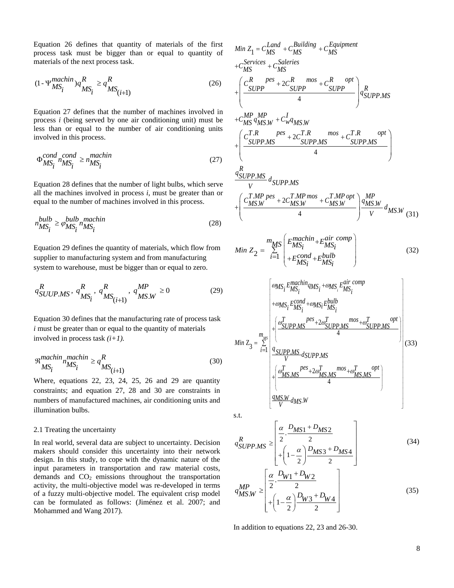Equation 26 defines that quantity of materials of the first process task must be bigger than or equal to quantity of materials of the next process task.

$$
(1 - \Psi_{MS_i}^{machine}) q_{MS_i}^R \ge q_{MS_{(i+1)}}^R
$$
\n(26)

Equation 27 defines that the number of machines involved in process *i* (being served by one air conditioning unit) must be less than or equal to the number of air conditioning units involved in this process.

$$
\Phi_{MS_i}^{cond} \stackrel{cond}{\sim} n_{MS_i}^{machine} \ge n_{MS_i}^{machine} \tag{27}
$$

Equation 28 defines that the number of light bulbs, which serve all the machines involved in process *i*, must be greater than or equal to the number of machines involved in this process.

$$
n_{MS_i}^{bulb} \ge \varphi_{MS_i}^{bulb} n_{MS_i}^{machine}
$$
\n(28)

Equation 29 defines the quantity of materials, which flow from supplier to manufacturing system and from manufacturing system to warehouse, must be bigger than or equal to zero.

$$
q_{SUVP.MS}^{R}, q_{MS_{i}}^{R}, q_{MS(i+1)}^{R}, q_{MS.W}^{MP} \ge 0
$$
 (29)

Equation 30 defines that the manufacturing rate of process task *i* must be greater than or equal to the quantity of materials involved in process task *(i+1).*

$$
\mathfrak{R}_{MS_i}^{machine}{}_{nMS_i}^{machine} \ge q_{MS_{(i+1)}}^R
$$
\n(30)

Where, equations 22, 23, 24, 25, 26 and 29 are quantity constraints; and equation 27, 28 and 30 are constraints in numbers of manufactured machines, air conditioning units and illumination bulbs.

#### 2.1 Treating the uncertainty

In real world, several data are subject to uncertainty. Decision makers should consider this uncertainty into their network design. In this study, to cope with the dynamic nature of the input parameters in transportation and raw material costs, demands and  $CO<sub>2</sub>$  emissions throughout the transportation activity, the multi-objective model was re-developed in terms of a fuzzy multi-objective model. The equivalent crisp model can be formulated as follows: (Jiménez et al. 2007; and Mohammed and Wang 2017).

Min 
$$
Z_1 = C_{MS}^{Land} + C_{MS}^{Building} + C_{MS}^{Equipment}
$$
  
\n $+ C_{MS}^{Series} + C_{MS}^{Saleries}$   
\n $+ \left( \frac{C_{SUPP}^{R \text{ } pes} + 2C_{SUPP}^{R \text{ }mos} + C_{SUPP}^{R \text{ }opt}}{4} \right) q_{SUPP. MS}^{R}$   
\n $+ C_{MS}^{MP} q_{MS, W}^{MP} + C_{W}^{I} q_{MS, W}$   
\n $+ \left( \frac{C_{SUPP. MS}^{T \text{ }hes} + 2C_{SUPP. MS}^{T \text{ }R \text{ }mos} + C_{SUPP. MS}^{T \text{ }R \text{ }opt}}{4} \right)$   
\n $+ \left( \frac{C_{SUPP. MS}^{R \text{ } pas} + 2C_{SUPP. MS}^{T \text{ }R \text{ }top}}{V} \right) q_{MSP, MS}^{MP}$   
\n $+ \left( \frac{C_{MS, W}^{T \text{ }IPS} + 2C_{MS, W}^{T \text{ }MP} + C_{MS, W}^{T \text{ }MP \text{ }opt}}{4} \right) q_{MS, W}^{MP}$   
\n $+ \left( \frac{C_{MS, W}^{T \text{ } pres} + 2C_{MS, W}^{T \text{ }MP} + C_{MS, W}^{T \text{ }MP \text{ }opt}}{4} \right) q_{MS, W}^{MP} q_{MS, W}^{M \text{ }(31)}$   
\n $Min Z_2 = \sum_{i=1}^{m_{MS}} \left( E_{MS_i}^{machine} + E_{MS_i}^{air \text{ }comp} \right)$   
\n(32)

$$
Min Z_3 = \sum_{i=1}^{m_{MS}} \frac{q_{MS_i} E_{MS_i}^{machine} q_{MS_i} + \omega_{MS_i} E_{MS_i}^{air comp}}{q_{MS_i} E_{MS_i}^{cond} + \omega_{MS_i} E_{MS_i}^{bulb}}
$$
\n
$$
Min Z_3 = \sum_{i=1}^{m_{MS}} \frac{q_{SUPPMS}}{q_{SUPPMS}} d_{SUPPMS}
$$
\n
$$
+ \left(\frac{\omega_{MSMS}^T}{\omega_{MSMS}} d_{SUPPMS} + \omega_{MSMS}^T \frac{\omega_{SMMS}^T}{\omega_{MSMS}}\right)
$$
\n
$$
+ \left(\frac{\omega_{MSMS}^T}{\omega_{MSMS}} d_{MSMS} + \omega_{MSMS}^T \frac{\omega_{SMMS}^T}{\omega_{MSMS}}\right)
$$
\n
$$
= \frac{q_{MS3}^T}{\omega_{MSMS}} d_{MSMS}
$$

s.t.

s.t.  
\n
$$
q_{SUPP.MS}^{R} \ge \left[ \frac{\alpha}{2} \cdot \frac{D_{MS1} + D_{MS2}}{2} + \left( 1 - \frac{\alpha}{2} \right) \frac{D_{MS3} + D_{MS4}}{2} \right]
$$
\n
$$
q_{MS,W}^{MP} \ge \left[ \frac{\alpha}{2} \cdot \frac{D_{W1} + D_{W2}}{2} + \left( 1 - \frac{\alpha}{2} \right) \frac{D_{W3} + D_{W4}}{2} \right]
$$
\n(35)

In addition to equations 22, 23 and 26-30.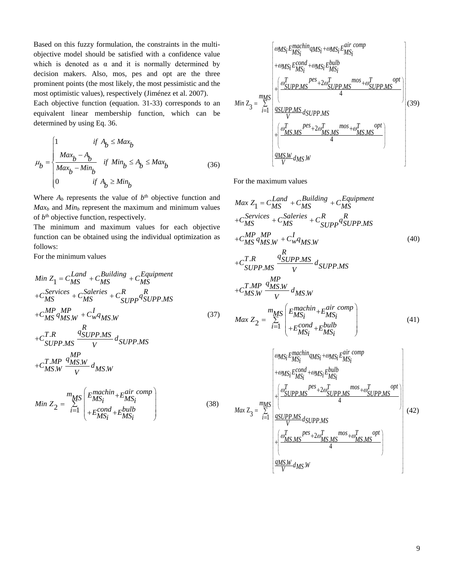Based on this fuzzy formulation, the constraints in the multiobjective model should be satisfied with a confidence value which is denoted as  $\alpha$  and it is normally determined by decision makers. Also, mos, pes and opt are the three prominent points (the most likely, the most pessimistic and the most optimistic values), respectively (Jiménez et al. 2007).

Each objective function (equation. 31-33) corresponds to an equivalent linear membership function, which can be determined by using Eq. 36.

$$
\mu_{b} = \begin{cases}\n1 & \text{if } A_{b} \leq Max_{b} \\
\frac{Max_{b} - A_{b}}{Max_{b} - Min_{b}} & \text{if } Min_{b} \leq A_{b} \leq Max_{b} \\
0 & \text{if } A_{b} \geq Min_{b}\n\end{cases}
$$
\n(36)

Where  $A_b$  represents the value of  $b<sup>th</sup>$  objective function and *Max<sup>b</sup>* and *Min<sup>b</sup>* represent the maximum and minimum values of  $b<sup>th</sup>$  objective function, respectively.

The minimum and maximum values for each objective function can be obtained using the individual optimization as follows:

For the minimum values

Min 
$$
Z_1 = C_{MS}^{Land} + C_{MS}^{Building} + C_{MS}^{Equipment}
$$
  
+ $C_{MS}^{Services} + C_{MS}^{Saleries} + C_{SUPP}^{R} q_{SUPP, MS}^{R}$   
+ $C_{MS}^{MP} q_{MS,W}^{MP} + C_{W}^{I} q_{MS,W}$   
+ $C_{SIPP}^{TR} q_{MSS,W}^{R} q_{SUPP, MS}^{S}$  (37)

$$
+C_{SUPP.MS}^{T.R} \frac{q_{SUPP.MS}^{G} d_{SUPP.MS}}{V} \times C_{MSM}^{T.MP} \frac{q_{MS.W}^{MP}}{V} \times d_{MSM}
$$

$$
Min Z_2 = \sum_{i=1}^{m_{MS}} \begin{pmatrix} E_{MS_i}^{machine} + E_{MS_i}^{air \ comp} \\ + E_{MS_i}^{cond} + E_{MS_i}^{bulb} \end{pmatrix}
$$
(38)

$$
Min Z_{3} = \sum_{i=1}^{mMS} \left( \frac{\omega_{MS_{i}} E_{MS_{i}}^{machine} q_{MS_{i}} + \omega_{MS_{i}} E_{MS_{i}}^{air \ comp}}{\frac{1}{2} \left( \frac{\omega_{SMPMS_{i}}^{E_{MS_{i}}}}{\omega_{SMPMS}} + 2\omega_{SUPPMS}^{T} \right)}{\frac{1}{2} \left( \frac{\omega_{SUPPMS}^{F} \omega_{SUPPMS}}{\omega_{MSDPMS}} \right)} \right) (39)
$$
\n
$$
Min Z_{3} = \sum_{i=1}^{mMS} \left( \frac{\omega_{MSDPMS}^{E_{SM}}}{\omega_{MSDMS}} \frac{1}{\omega_{MSDMS}} \frac{1}{\omega_{MSDMS}} \right)
$$
\n
$$
= \left( \frac{\omega_{MSDMS}^{F} \omega_{MSDMS}}{\omega_{MSDMS}} \frac{1}{\omega_{MSDMS}} \right)
$$

For the maximum values

$$
Max Z_{1} = C_{MS}^{Land} + C_{MS}^{Building} + C_{MS}^{Equipment}
$$
  
+ $C_{MS}^{Services} + C_{MS}^{Saleries} + C_{SUPP}^{R} q_{SUPP, MS}^{R}$   
+ $C_{MS}^{MP} q_{MS,W}^{MP} + C_{W}^{H} q_{MS,W}$  (40)  
+ $C_{SUPP, MS}^{TR} \frac{q_{SUPP, MS}^{RP}}{V} d_{SUPP, MS}$   
+ $C_{MS,W}^{T,MP} \frac{q_{MS,W}^{MP}}{V} d_{MS,W}$   

$$
Max Z_{2} = \sum_{i=1}^{m_{MS}} \begin{pmatrix} E_{MSi}^{machine} + E_{MSi}^{air} \\ + E_{MSi}^{cond} + E_{MSi}^{bulb} \\ + E_{MSi}^{cond} + E_{MSi}^{bin} \end{pmatrix}
$$
 (41)  

$$
\begin{bmatrix} \omega_{MSi} E_{MSi}^{machine} q_{MSi} + \omega_{MSi} E_{MSi}^{air} \end{bmatrix}
$$

$$
max Z_{3} = \sum_{i=1}^{mMS} \begin{pmatrix} \omega_{MS_{i}} E_{MS_{i}}^{machine} q_{MS_{i}} + \omega_{MS_{i}} E_{MS_{i}}^{air \text{ comp}} \\ + \omega_{MS_{i}} E_{MS_{i}}^{cond} + \omega_{MS_{i}} E_{MS_{i}}^{bulb} \\ + \frac{\omega_{SUPPMS}^{f} E_{MS_{i}}^{cond} + \omega_{SUPPMS}^{M} E_{MS}^{cond} + \omega_{SUPPMS}^{T} P_{MS}^{opt}}{4} \\ + \frac{\omega_{SUPPMS}^{f} d_{SUPPMS}}{V} d_{SUPPMS} \end{pmatrix} (42)
$$
\n
$$
max \frac{q_{MS} W}{V} d_{MS} S_{SM}
$$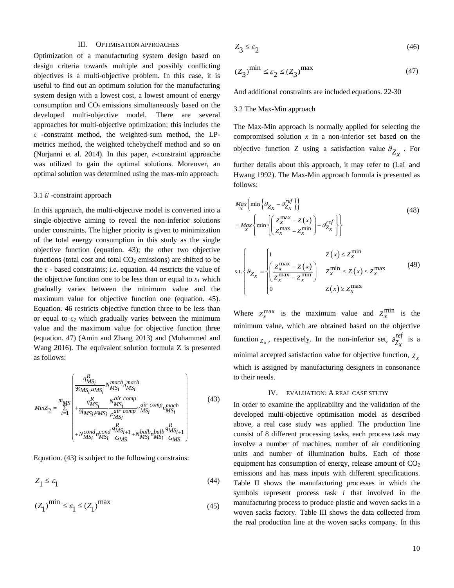#### III. OPTIMISATION APPROACHES

Optimization of a manufacturing system design based on design criteria towards multiple and possibly conflicting objectives is a multi-objective problem. In this case, it is useful to find out an optimum solution for the manufacturing system design with a lowest cost, a lowest amount of energy consumption and  $CO<sub>2</sub>$  emissions simultaneously based on the developed multi-objective model. There are several approaches for multi-objective optimization; this includes the *ε* -constraint method, the weighted-sum method, the LPmetrics method, the weighted tchebycheff method and so on (Nurjanni et al. 2014). In this paper, *ε*-constraint approache was utilized to gain the optimal solutions. Moreover, an optimal solution was determined using the max-min approach.

#### 3.1 *ε*-constraint approach

In this approach, the multi-objective model is converted into a single-objective aiming to reveal the non-inferior solutions under constraints. The higher priority is given to minimization of the total energy consumption in this study as the single objective function (equation. 43); the other two objective functions (total cost and total  $CO<sub>2</sub>$  emissions) are shifted to be the *ε* - based constraints; i.e. equation. 44 restricts the value of the objective function one to be less than or equal to  $\varepsilon_I$  which gradually varies between the minimum value and the maximum value for objective function one (equation. 45). Equation. 46 restricts objective function three to be less than or equal to  $\varepsilon_2$  which gradually varies between the minimum value and the maximum value for objective function three (equation. 47) (Amin and Zhang 2013) and (Mohammed and Wang 2016). The equivalent solution formula Z is presented as follows:

$$
MinZ_{2} = \sum_{i=1}^{m_{MS}} \left( \frac{q_{MS_{i}}^{R}}{\Re_{MS_{i}} \mu_{MS_{i}}} N_{MS_{i}}^{mach_{m}} \frac{M_{j}}{M_{j}} \right) + \frac{q_{MS_{i}}^{R}}{\Re_{MS_{i}} \mu_{MS_{i}}} N_{MS_{i}}^{air comp} \frac{q_{MS_{i}}^{air comp}}{M_{j}} \nu_{MS_{i}}^{air comp} \frac{M_{j}}{M_{j}} \nu_{MS_{i}}^{air comp} \frac{M_{j}}{M_{j}} \nu_{MS_{i}}^{max} \right)
$$
\n
$$
+ N_{MS_{i}}^{cond} \frac{q_{MS_{i+1}}^{R}}{G_{MS_{i}}} + N_{MS_{i}}^{bulb} \frac{q_{MS_{i+1}}^{R}}{M_{j}} \nu_{MS_{i}}^{G_{j}} \frac{M_{j}}{G_{MS_{i}}} \right)
$$
\n(43)

Equation. (43) is subject to the following constrains:

$$
Z_1 \le \varepsilon_1 \tag{44}
$$

$$
(Z_1)^{\text{min}} \le \varepsilon_1 \le (Z_1)^{\text{max}} \tag{45}
$$

$$
Z_3 \le \varepsilon_2 \tag{46}
$$

$$
(Z_3)^{\text{min}} \le \varepsilon_2 \le (Z_3)^{\text{max}} \tag{47}
$$

And additional constraints are included equations. 22-30

#### 3.2 The Max-Min approach

The Max-Min approach is normally applied for selecting the compromised solution  $x$  in a non-inferior set based on the objective function Z using a satisfaction value  $\mathcal{I}_{Z_x}$ . For further details about this approach, it may refer to (Lai and Hwang 1992). The Max-Min approach formula is presented as follows:

$$
M_{ax} \left\{ \min \left\{ \mathcal{G}_{Z_x} - \mathcal{G}_{Z_x}^{ref} \right\} \right\}
$$
\n
$$
= M_{ax} \left\{ \min \left\{ \left( \frac{Z_x^{\max} - Z(x)}{Z_x^{\max} - Z_x^{\min}} \right) - \mathcal{G}_{Z_x}^{ref} \right\} \right\}
$$
\n
$$
s.t. \left\{ \mathcal{G}_{Z_x} = \begin{cases} 1 & Z(x) \le Z_x^{\min} \\ \left( \frac{Z_x^{\max} - Z(x)}{Z_x^{\max} - Z_x^{\min}} \right) & Z_x^{\min} \le Z(x) \le Z_x^{\max} \\ 0 & Z(x) \ge Z_x^{\max} \end{cases} \right. \tag{49}
$$

Where  $Z_x^{\text{max}}$  is the maximum value and  $Z_x^{\text{min}}$  is the minimum value, which are obtained based on the objective function  $Z_x$ , respectively. In the non-inferior set,  $\mathcal{G}_Z^{ref}$  $\frac{9}{Z_x}$  is a minimal accepted satisfaction value for objective function,  $Z_x$ which is assigned by manufacturing designers in consonance to their needs.

#### IV. EVALUATION: A REAL CASE STUDY

In order to examine the applicability and the validation of the developed multi-objective optimisation model as described above, a real case study was applied. The production line consist of 8 different processing tasks, each process task may involve a number of machines, number of air conditioning units and number of illumination bulbs. Each of those equipment has consumption of energy, release amount of  $CO<sub>2</sub>$ emissions and has mass inputs with different specifications. Table II shows the manufacturing processes in which the symbols represent process task *i* that involved in the manufacturing process to produce plastic and woven sacks in a woven sacks factory. Table III shows the data collected from the real production line at the woven sacks company. In this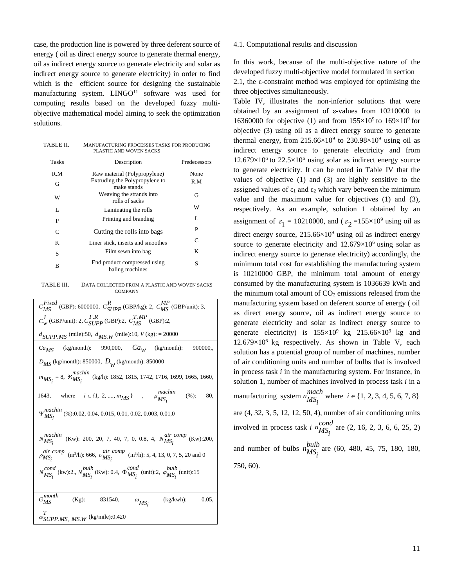case, the production line is powered by three deferent source of energy ( oil as direct energy source to generate thermal energy, oil as indirect energy source to generate electricity and solar as indirect energy source to generate electricity) in order to find which is the efficient source for designing the sustainable manufacturing system.  $LINGO<sup>11</sup>$  software was used for computing results based on the developed fuzzy multiobjective mathematical model aiming to seek the optimization solutions.

TABLE II. MANUFACTURING PROCESSES TASKS FOR PRODUCING PLASTIC AND WOVEN SACKS

| <b>Tasks</b> | Description                                     | Predecessors |
|--------------|-------------------------------------------------|--------------|
| R.M          | Raw material (Polypropylene)                    | None         |
| G            | Extruding the Polypropylene to<br>make stands   | R.M          |
| W            | Weaving the strands into<br>rolls of sacks      | G            |
| L            | Laminating the rolls                            | W            |
| P            | Printing and branding                           | L            |
| C            | Cutting the rolls into bags                     | P            |
| K            | Liner stick, inserts and smoothes               | C            |
| S            | Film sewn into bag                              | K            |
| B            | End product compressed using<br>baling machines | S            |

TABLE III. DATA COLLECTED FROM A PLASTIC AND WOVEN SACKS **COMPANY** 

| $C_{MS}^{Fixed}$ (GBP): 6000000, $C_{SUPP}^{R}$ (GBP/kg): 2, $C_{MS}^{MP}$ (GBP/unit): 3,                           |
|---------------------------------------------------------------------------------------------------------------------|
| $C_w^I$ (GBP/unit): 2, $C_{SI/PP}^{T,R}$ (GBP):2, $C_{MS}^{T,MP}$ (GBP):2,                                          |
| $d_{SUPPMS}$ (mile):50, $d_{MS,W}$ (mile):10, $V$ (kg): = 20000                                                     |
| $Ca_{MS}$ (kg/month): 990,000, $Ca_{W}$ (kg/month):<br>900000.                                                      |
| $D_{MS}$ (kg/month): 850000, $D_{W}$ (kg/month): 850000                                                             |
| $m_{MS_i} = 8$ , $\mathcal{R}_{MS_i}^{machine}$ (kg/h): 1852, 1815, 1742, 1716, 1699, 1665, 1660,                   |
| 1643, where $i \in \{1, 2, , m_{MS}\}$ , $\mu_{MS_i}^{machine}$<br>(%):<br>80,                                      |
| $\Psi_{\text{MS}}^{\text{machin}}$ (%):0.02, 0.04, 0.015, 0.01, 0.02, 0.003, 0.01,0                                 |
| $N_{MS_i}^{machine}$<br>(Kw): 200, 20, 7, 40, 7, 0, 0.8, 4, $N_{MS}^{air~comp}$ (Kw):200,                           |
| <i>air comp</i> (m <sup>3</sup> /h): 666, $v_{MS_i}^{air \; comp}$ (m <sup>3</sup> /h): 5, 4, 13, 0, 7, 5, 20 and 0 |
| $N_{MS}^{cond}$ (kw):2., $N_{MS}^{bulb}$ (Kw): 0.4, $\Phi_{MS}^{cond}$ (unit):2, $\phi_{MS}^{bulb}$ (unit):15       |
|                                                                                                                     |
| $G_{MS}^{month}$<br>$(Kg)$ :<br>831540,<br>$(kg/kwh)$ :<br>0.05,<br>$\omega_{MS_i}$                                 |
| $\omega_{SUPP. MS, MS.W}$ (kg/mile):0.420                                                                           |

#### 4.1. Computational results and discussion

In this work, because of the multi-objective nature of the developed fuzzy multi-objective model formulated in section 2.1, the ε-constraint method was employed for optimising the three objectives simultaneously.

Table IV, illustrates the non-inferior solutions that were obtained by an assignment of ε-values from 10210000 to 16360000 for objective (1) and from  $155 \times 10^9$  to  $169 \times 10^9$  for objective (3) using oil as a direct energy source to generate thermal energy, from  $215.66 \times 10^9$  to  $230.98 \times 10^9$  using oil as indirect energy source to generate electricity and from  $12.679\times10^{6}$  to  $22.5\times10^{6}$  using solar as indirect energy source to generate electricity. It can be noted in Table IV that the values of objective (1) and (3) are highly sensitive to the assigned values of  $\varepsilon_1$  and  $\varepsilon_2$  which vary between the minimum value and the maximum value for objectives (1) and (3), respectively. As an example, solution 1 obtained by an assignment of  $\varepsilon_1 = 10210000$ , and  $(\varepsilon_2 = 155 \times 10^9)$  using oil as direct energy source,  $215.66\times10^9$  using oil as indirect energy source to generate electricity and  $12.679\times10^6$  using solar as indirect energy source to generate electricity) accordingly, the minimum total cost for establishing the manufacturing system is 10210000 GBP, the minimum total amount of energy consumed by the manufacturing system is 1036639 kWh and the minimum total amount of  $CO<sub>2</sub>$  emissions released from the manufacturing system based on deferent source of energy ( oil as direct energy source, oil as indirect energy source to generate electricity and solar as indirect energy source to generate electricity) is  $155\times10^9$  kg  $215.66\times10^9$  kg and  $12.679\times10^{6}$  kg respectively. As shown in Table V, each solution has a potential group of number of machines, number of air conditioning units and number of bulbs that is involved in process task *i* in the manufacturing system. For instance, in solution 1, number of machines involved in process task *i* in a manufacturing system  $n_{MS_i}^{mach}$  where  $i \in \{1, 2, 3, 4, 5, 6, 7, 8\}$ are (4, 32, 3, 5, 12, 12, 50, 4), number of air conditioning units involved in process task *i*  $n_{MS<sub>i</sub>}^{cond}$  are (2, 16, 2, 3, 6, 6, 25, 2) and number of bulbs  $n_{MS_i}^{bulb}$  are (60, 480, 45, 75, 180, 180, 750, 60).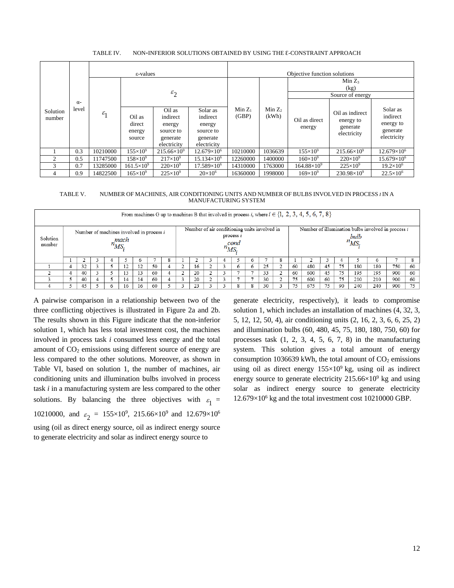|  | TABLE IV. | NON-INFERIOR SOLUTIONS OBTAINED BY USING THE E-CONSTRAINT APPROACH |  |
|--|-----------|--------------------------------------------------------------------|--|
|--|-----------|--------------------------------------------------------------------|--|

|                    |                     |              | ε-values                             |                                                                      |                                                                        | Objective function solutions |                    |                          |                                                         |                                                              |  |  |  |  |
|--------------------|---------------------|--------------|--------------------------------------|----------------------------------------------------------------------|------------------------------------------------------------------------|------------------------------|--------------------|--------------------------|---------------------------------------------------------|--------------------------------------------------------------|--|--|--|--|
|                    |                     |              |                                      |                                                                      |                                                                        |                              |                    | $Min Z_3$                |                                                         |                                                              |  |  |  |  |
|                    |                     |              |                                      | $\varepsilon_2$                                                      |                                                                        |                              |                    | (kg)<br>Source of energy |                                                         |                                                              |  |  |  |  |
| Solution<br>number | $\alpha$ -<br>level | $\epsilon_1$ | Oil as<br>direct<br>energy<br>source | Oil as<br>indirect<br>energy<br>source to<br>generate<br>electricity | Solar as<br>indirect<br>energy<br>source to<br>generate<br>electricity | $Min Z_1$<br>(GBP)           | Min $Z_2$<br>(kWh) | Oil as direct<br>energy  | Oil as indirect<br>energy to<br>generate<br>electricity | Solar as<br>indirect<br>energy to<br>generate<br>electricity |  |  |  |  |
|                    | 0.3                 | 10210000     | $155\times10^{9}$                    | $215.66\times10^{9}$                                                 | $12.679\times10^{6}$                                                   | 10210000                     | 1036639            | $155\times10^{9}$        | $215.66\times10^{9}$                                    | $12.679\times10^{6}$                                         |  |  |  |  |
|                    | 0.5                 | 11747500     | $158\times10^{9}$                    | $217\times10^{9}$                                                    | $15.134\times10^{6}$                                                   | 12260000                     | 1400000            | $160\times10^{9}$        | $220\times10^{9}$                                       | $15.679\times10^{6}$                                         |  |  |  |  |
| 3                  | 0.7                 | 13285000     | $161.5\times10^{9}$                  | $220\times10^{9}$                                                    | $17.589\times10^{6}$                                                   | 14310000                     | 1763000            | $164.88\times10^{9}$     | $225 \times 10^{9}$                                     | $19.2\times10^{6}$                                           |  |  |  |  |
| 4                  | 0.9                 | 14822500     | $165\times10^{9}$                    | $225 \times 10^{9}$                                                  | $20\times10^{6}$                                                       | 16360000                     | 1998000            | $169\times10^{9}$        | $230.98\times10^{9}$                                    | $22.5 \times 10^6$                                           |  |  |  |  |

TABLE V. NUMBER OF MACHINES, AIR CONDITIONING UNITS AND NUMBER OF BULBS INVOLVED IN PROCESS *I* IN A MANUFACTURING SYSTEM

|                    | From machines G up to machines B that involved in process i, where $i \in \{1, 2, 3, 4, 5, 6, 7, 8\}$ |    |  |  |    |    |    |                                                                                 |  |    |  |  |         |   |                                                                        |  |    |     |     |    |     |         |     |    |
|--------------------|-------------------------------------------------------------------------------------------------------|----|--|--|----|----|----|---------------------------------------------------------------------------------|--|----|--|--|---------|---|------------------------------------------------------------------------|--|----|-----|-----|----|-----|---------|-----|----|
| Solution<br>number | Number of machines involved in process i<br>mach<br>$n_{MS_i}$                                        |    |  |  |    |    |    | Number of air conditioning units involved in<br>process $i$<br>cond<br>$n_{MS}$ |  |    |  |  |         |   | Number of illumination bulbs involved in process i<br>bulb<br>$n_{MS}$ |  |    |     |     |    |     |         |     |    |
|                    |                                                                                                       |    |  |  |    |    |    |                                                                                 |  |    |  |  |         |   |                                                                        |  |    |     |     |    |     | $\circ$ |     |    |
|                    |                                                                                                       | 32 |  |  |    | 12 | 50 |                                                                                 |  | 16 |  |  | $\circ$ | 6 | 25                                                                     |  | 60 | 480 | 45  | 75 | 180 | 180     | 750 | 60 |
|                    |                                                                                                       | 40 |  |  | 13 | 13 | 60 |                                                                                 |  | 20 |  |  |         |   | 33                                                                     |  | 60 | 600 | 45  | 75 | 195 | 195     | 900 | 60 |
|                    |                                                                                                       | 40 |  |  | 14 | 14 | 60 |                                                                                 |  | 20 |  |  |         |   | 30                                                                     |  | 75 | 600 | 60  | 75 | 210 | 210     | 900 | 60 |
|                    |                                                                                                       | 45 |  |  | 16 | 16 | 60 |                                                                                 |  | 23 |  |  |         |   | 30                                                                     |  |    | 675 | 75. | 90 | 240 | 240     | 900 | 75 |

A pairwise comparison in a relationship between two of the three conflicting objectives is illustrated in Figure 2a and 2b. The results shown in this Figure indicate that the non-inferior solution 1, which has less total investment cost, the machines involved in process task *i* consumed less energy and the total amount of  $CO<sub>2</sub>$  emissions using different source of energy are less compared to the other solutions. Moreover, as shown in Table VI, based on solution 1, the number of machines, air conditioning units and illumination bulbs involved in process task *i* in a manufacturing system are less compared to the other solutions. By balancing the three objectives with  $\varepsilon_1 =$ 10210000, and  $\varepsilon_2 = 155 \times 10^9$ , 215.66 $\times 10^9$  and 12.679 $\times 10^6$ using (oil as direct energy source, oil as indirect energy source to generate electricity and solar as indirect energy source to

generate electricity, respectively), it leads to compromise solution 1, which includes an installation of machines (4, 32, 3, 5, 12, 12, 50, 4), air conditioning units (2, 16, 2, 3, 6, 6, 25, 2) and illumination bulbs (60, 480, 45, 75, 180, 180, 750, 60) for processes task (1, 2, 3, 4, 5, 6, 7, 8) in the manufacturing system. This solution gives a total amount of energy consumption 1036639 kWh, the total amount of  $CO<sub>2</sub>$  emissions using oil as direct energy 155×10<sup>9</sup> kg, using oil as indirect energy source to generate electricity  $215.66 \times 10^9$  kg and using solar as indirect energy source to generate electricity 12.679×10<sup>6</sup> kg and the total investment cost 10210000 GBP.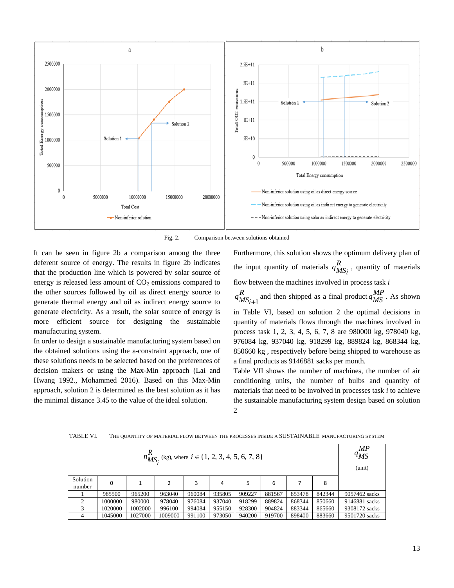

Fig. 2. Comparison between solutions obtained

It can be seen in figure 2b a comparison among the three deferent source of energy. The results in figure 2b indicates that the production line which is powered by solar source of energy is released less amount of  $CO<sub>2</sub>$  emissions compared to the other sources followed by oil as direct energy source to generate thermal energy and oil as indirect energy source to generate electricity. As a result, the solar source of energy is more efficient source for designing the sustainable manufacturing system.

In order to design a sustainable manufacturing system based on the obtained solutions using the ε-constraint approach, one of these solutions needs to be selected based on the preferences of decision makers or using the Max-Min approach (Lai and Hwang 1992., Mohammed 2016). Based on this Max-Min approach, solution 2 is determined as the best solution as it has the minimal distance 3.45 to the value of the ideal solution.

Furthermore, this solution shows the optimum delivery plan of the input quantity of materials  $q_{MS_i}^R$ , quantity of materials flow between the machines involved in process task *i*

1  $q_{MS_{i+1}}^R$  and then shipped as a final product  $q_{MS}^{MP}$ . As shown in Table VI, based on solution 2 the optimal decisions in quantity of materials flows through the machines involved in process task 1, 2, 3, 4, 5, 6, 7, 8 are 980000 kg, 978040 kg, 976084 kg, 937040 kg, 918299 kg, 889824 kg, 868344 kg, 850660 kg , respectively before being shipped to warehouse as a final products as 9146881 sacks per month.

Table VII shows the number of machines, the number of air conditioning units, the number of bulbs and quantity of materials that need to be involved in processes task *i* to achieve the sustainable manufacturing system design based on solution  $\mathfrak{D}$ 

| $n_{MS_i}^R$ (kg), where $i \in \{1, 2, 3, 4, 5, 6, 7, 8\}$ |         |         |         |        |        |        |        |        |        |               |  |
|-------------------------------------------------------------|---------|---------|---------|--------|--------|--------|--------|--------|--------|---------------|--|
| Solution<br>number                                          | 0       |         | 2       | 3      | 4      | 5      | 6      |        | 8      |               |  |
|                                                             | 985500  | 965200  | 963040  | 960084 | 935805 | 909227 | 881567 | 853478 | 842344 | 9057462 sacks |  |
|                                                             | 1000000 | 980000  | 978040  | 976084 | 937040 | 918299 | 889824 | 868344 | 850660 | 9146881 sacks |  |
|                                                             | 1020000 | 1002000 | 996100  | 994084 | 955150 | 928300 | 904824 | 883344 | 865660 | 9308172 sacks |  |
| 4                                                           | 1045000 | 1027000 | 1009000 | 991100 | 973050 | 940200 | 919700 | 898400 | 883660 | 9501720 sacks |  |

TABLE VI. THE QUANTITY OF MATERIAL FLOW BETWEEN THE PROCESSES INSIDE A SUSTAINABLE MANUFACTURING SYSTEM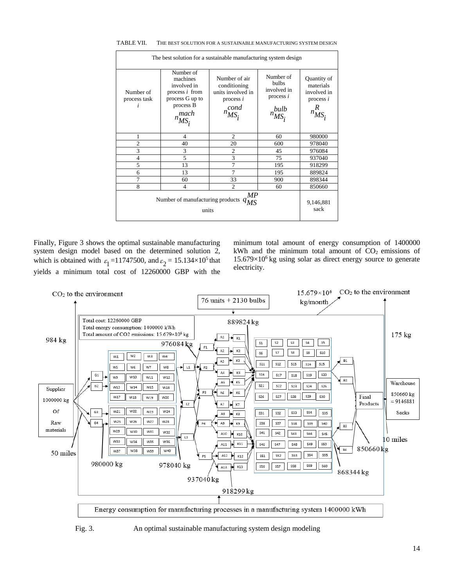| The best solution for a sustainable manufacturing system design |                                                                                                                |                                                                                          |                                                                      |                                                                           |
|-----------------------------------------------------------------|----------------------------------------------------------------------------------------------------------------|------------------------------------------------------------------------------------------|----------------------------------------------------------------------|---------------------------------------------------------------------------|
| Number of<br>process task<br>ı                                  | Number of<br>machines<br>involved in<br>process $i$ from<br>process G up to<br>process B<br>mach<br>$n_{MS_i}$ | Number of air<br>conditioning<br>units involved in<br>process $i$<br>cond<br>n<br>$MS_i$ | Number of<br>bulbs<br>involved in<br>process $i$<br>bulb<br>$n_{MS}$ | Quantity of<br>materials<br>involved in<br>process $i$<br>R<br>$n_{MS_i}$ |
| 1                                                               | $\overline{4}$                                                                                                 | $\overline{2}$                                                                           | 60                                                                   | 980000                                                                    |
| $\overline{c}$                                                  | 40                                                                                                             | 20                                                                                       | 600                                                                  | 978040                                                                    |
| 3                                                               | 3                                                                                                              | $\overline{2}$                                                                           | 45                                                                   | 976084                                                                    |
| $\overline{4}$                                                  | 5                                                                                                              | 3                                                                                        | 75                                                                   | 937040                                                                    |
| 5                                                               | 13                                                                                                             | 7                                                                                        | 195                                                                  | 918299                                                                    |
| 6                                                               | 13                                                                                                             | 7                                                                                        | 195                                                                  | 889824                                                                    |
| 7                                                               | 60                                                                                                             | 33                                                                                       | 900                                                                  | 898344                                                                    |
| 8                                                               | $\overline{4}$                                                                                                 | $\mathfrak{D}$                                                                           | 60                                                                   | 850660                                                                    |
| МP<br>Number of manufacturing products<br>$q_{MS}$<br>units     |                                                                                                                |                                                                                          |                                                                      | 9,146,881<br>sack                                                         |

#### TABLE VII. THE BEST SOLUTION FOR A SUSTAINABLE MANUFACTURING SYSTEM DESIGN

Finally, Figure 3 shows the optimal sustainable manufacturing system design model based on the determined solution 2, which is obtained with  $\varepsilon_1 = 11747500$ , and  $\varepsilon_2 = 15.134 \times 10^5$  that yields a minimum total cost of 12260000 GBP with the

minimum total amount of energy consumption of 1400000 kWh and the minimum total amount of  $CO<sub>2</sub>$  emissions of  $15.679\times10^{6}$  kg using solar as direct energy source to generate electricity.



Fig. 3. An optimal sustainable manufacturing system design modeling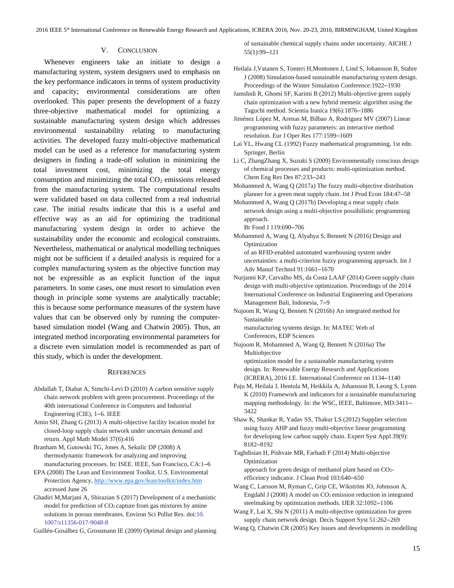2016 IEEE 5th International Conference on Renewable Energy Research and Applications, ICRERA 2016, Nov. 20-23, 2016, BIRMINGHAM, United Kingdom

## V. CONCLUSION

Whenever engineers take an initiate to design a manufacturing system, system designers used to emphasis on the key performance indicators in terms of system productivity and capacity; environmental considerations are often overlooked. This paper presents the development of a fuzzy three-objective mathematical model for optimizing a sustainable manufacturing system design which addresses environmental sustainability relating to manufacturing activities. The developed fuzzy multi-objective mathematical model can be used as a reference for manufacturing system designers in finding a trade-off solution in minimizing the total investment cost, minimizing the total energy consumption and minimizing the total  $CO<sub>2</sub>$  emissions released from the manufacturing system. The computational results were validated based on data collected from a real industrial case. The initial results indicate that this is a useful and effective way as an aid for optimizing the traditional manufacturing system design in order to achieve the sustainability under the economic and ecological constraints. Nevertheless, mathematical or analytical modelling techniques might not be sufficient if a detailed analysis is required for a complex manufacturing system as the objective function may not be expressible as an explicit function of the input parameters. In some cases, one must resort to simulation even though in principle some systems are analytically tractable; this is because some performance measures of the system have values that can be observed only by running the computerbased simulation model (Wang and Chatwin 2005). Thus, an integrated method incorporating environmental parameters for a discrete even simulation model is recommended as part of this study, which is under the development.

## **REFERENCES**

- Abdallah T, Diabat A, Simchi-Levi D (2010) A carbon sensitive supply chain network problem with green procurement. Proceedings of the 40th international Conference in Computers and Industrial Engineering (CIE), 1–6. IEEE
- Amin SH, Zhang G (2013) A multi-objective facility location model for closed-loop supply chain network under uncertain demand and return. Appl Math Model 37(6):416
- Branham M, Gutowski TG, Jones A, Sekulic DP (2008) A thermodynamic framework for analyzing and improving manufacturing processes. In: ISEE. IEEE, San Francisco, CA:1–6
- EPA (2008) The Lean and Environment Toolkit. U.S. Environmental Protection Agency[, http://www.epa.gov/lean/toolkit/index.htm](http://www.epa.gov/lean/toolkit/index.htm) accessed June 26
- Ghadiri M,Marjani A, Shirazian S (2017) Development of a mechanistic model for prediction of CO2 capture from gas mixtures by amine solutions in porous membranes. Environ Sci Pollut Res. doi:10. 1007/s11356-017-9048-8

Guillén-Gosálbez G, Grossmann IE (2009) Optimal design and planning

of sustainable chemical supply chains under uncertainty. AICHE J 55(1):99–121

- Heilala J,Vatanen S, Tonteri H,Montonen J, Lind S, Johansson B, Stahre J (2008) Simulation-based sustainable manufacturing system design. Proceedings of the Winter Simulation Conference:1922–1930
- Jamshidi R, Ghomi SF, Karimi B (2012) Multi-objective green supply chain optimization with a new hybrid memetic algorithm using the Taguchi method. Scientia Iranica 19(6):1876–1886
- Jiménez López M, Arenas M, Bilbao A, Rodriguez MV (2007) Linear programming with fuzzy parameters: an interactive method resolution. Eur J Oper Res 177:1599–1609
- Lai YL, Hwang CL (1992) Fuzzy mathematical programming, 1st edn. Springer, Berlin
- Li C, ZhangZhang X, Suzuki S (2009) Environmentally conscious design of chemical processes and products: multi-optimization method. Chem Eng Res Des 87:233–243
- Mohammed A, Wang Q (2017a) The fuzzy multi-objective distribution planner for a green meat supply chain. Int J Prod Econ 184:47–58
- Mohammed A, Wang Q (2017b) Developing a meat supply chain network design using a multi-objective possibilistic programming approach.

Br Food J 119:690–706

Mohammed A, Wang Q, Alyahya S, Bennett N (2016) Design and Optimization of an RFID-enabled automated warehousing system under

uncertainties: a multi-criterion fuzzy programming approach. Int J Adv Manuf Technol 91:1661–1670

- Nurjanni KP, Carvalho MS, da Costa LAAF (2014) Green supply chain design with multi-objective optimization. Proceedings of the 2014 International Conference on Industrial Engineering and Operations Management Bali, Indonesia, 7–9
- Nujoom R, Wang Q, Bennett N (2016b) An integrated method for Sustainable

manufacturing systems design. In: MATEC Web of Conferences, EDP Sciences

Nujoom R, Mohammed A, Wang Q, Bennett N (2016a) The Multiobjective optimization model for a sustainable manufacturing system

design. In: Renewable Energy Research and Applications (ICRERA), 2016 I.E. International Conference on 1134–1140

- Paju M, Heilala J, Hentula M, Heikkila A, Johansson B, Leong S, Lyons K (2010) Framework and indicators for a sustainable manufacturing mapping methodology. In: the WSC, IEEE, Baltimore, MD:3411– 3422
- Shaw K, Shankar R, Yadav SS, Thakur LS (2012) Supplier selection using fuzzy AHP and fuzzy multi-objective linear programming for developing low carbon supply chain. Expert Syst Appl 39(9): 8182–8192

Taghdisian H, Pishvaie MR, Farhadi F (2014) Multi-objective Optimization approach for green design of methanol plant based on CO2-

efficeincy indicator. J Clean Prod 103:640–650

Wang C, Larsson M, Ryman C, Grip CE, Wikström JO, Johnsson A, Engdahl J (2008) A model on CO2 emission reduction in integrated steelmaking by optimization methods. IJER 32:1092–1106

Wang F, Lai X, Shi N (2011) A multi-objective optimization for green supply chain network design. Decis Support Syst 51:262–269

Wang Q, Chatwin CR (2005) Key issues and developments in modelling